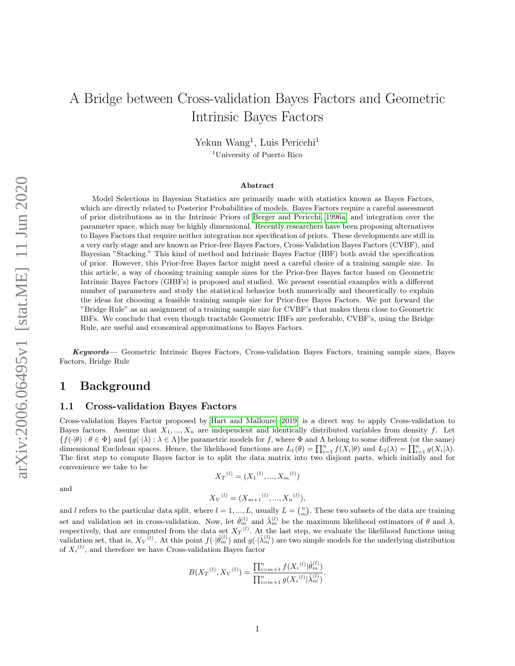# A Bridge between Cross-validation Bayes Factors and Geometric Intrinsic Bayes Factors

Yekun Wang<sup>1</sup>, Luis Pericchi<sup>1</sup>

<sup>1</sup>University of Puerto Rico

#### Abstract

Model Selections in Bayesian Statistics are primarily made with statistics known as Bayes Factors, which are directly related to Posterior Probabilities of models. Bayes Factors require a careful assessment of prior distributions as in the Intrinsic Priors of [Berger and Pericchi \[1996a\]](#page-22-0) and integration over the parameter space, which may be highly dimensional. Recently researchers have been proposing alternatives to Bayes Factors that require neither integration nor specification of priors. These developments are still in a very early stage and are known as Prior-free Bayes Factors, Cross-Validation Bayes Factors (CVBF), and Bayesian "Stacking." This kind of method and Intrinsic Bayes Factor (IBF) both avoid the specification of prior. However, this Prior-free Bayes factor might need a careful choice of a training sample size. In this article, a way of choosing training sample sizes for the Prior-free Bayes factor based on Geometric Intrinsic Bayes Factors (GIBFs) is proposed and studied. We present essential examples with a different number of parameters and study the statistical behavior both numerically and theoretically to explain the ideas for choosing a feasible training sample size for Prior-free Bayes Factors. We put forward the "Bridge Rule" as an assignment of a training sample size for CVBF's that makes them close to Geometric IBFs. We conclude that even though tractable Geometric IBFs are preferable, CVBF's, using the Bridge Rule, are useful and economical approximations to Bayes Factors.

Keywords— Geometric Intrinsic Bayes Factors, Cross-validation Bayes Factors, training sample sizes, Bayes Factors, Bridge Rule

# 1 Background

#### 1.1 Cross-validation Bayes Factors

Cross-validation Bayes Factor proposed by [Hart and Malloure \[2019\]](#page-22-1) is a direct way to apply Cross-validation to Bayes factors. Assume that  $X_1, ..., X_n$  are independent and identically distributed variables from density f. Let  $\{f(\cdot|\theta):\theta\in\Phi\}$  and  $\{g(\cdot|\lambda):\lambda\in\Lambda\}$ be parametric models for f, where  $\Phi$  and  $\Lambda$  belong to some different (or the same) dimensional Euclidean spaces. Hence, the likelihood functions are  $L_1(\theta) = \prod_{i=1}^n f(X_i|\theta)$  and  $L_2(\lambda) = \prod_{i=1}^n g(X_i|\lambda)$ . The first step to compute Bayes factor is to split the data matrix into two disjiont parts, which initially and for convenience we take to be

$$
X_T{}^{(l)} = (X_1{}^{(l)}, ..., X_m{}^{(l)})
$$

and

$$
{X_V}^{(l)} = (X_{m+1}^{(l)}, ..., X_n^{(l)}),
$$

and l refers to the particular data split, where  $l = 1, ..., L$ , usually  $L = {n \choose m}$ . These two subsets of the data are training set and validation set in cross-validation. Now, let  $\hat{\theta}_m^{(l)}$  and  $\hat{\lambda}_m^{(l)}$  be the maximum likelihood estimators of  $\theta$  and  $\lambda$ , respectively, that are computed from the data set  $X_T^{(l)}$ . At the last step, we evaluate the likelihood functions using validation set, that is,  $X_V^{(l)}$ . At this point  $f(\cdot|\hat{\theta}_m^{(l)})$  and  $g(\cdot|\hat{\lambda}_m^{(l)})$  are two simple models for the underlying distribution of  $X_i^{(l)}$ , and therefore we have Cross-validation Bayes factor

$$
B(X_T^{(l)}, X_V^{(l)}) = \frac{\prod_{i=m+1}^n f(X_i^{(l)} | \hat{\theta}_m^{(l)})}{\prod_{i=m+1}^n g(X_i^{(l)} | \hat{\lambda}_m^{(l)})}.
$$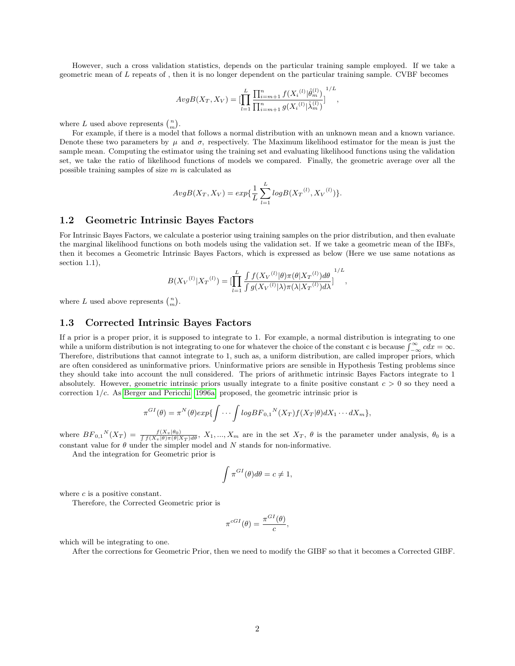However, such a cross validation statistics, depends on the particular training sample employed. If we take a geometric mean of L repeats of , then it is no longer dependent on the particular training sample. CVBF becomes

$$
AvgB(X_T, X_V) = [\prod_{l=1}^{L} \frac{\prod_{i=m+1}^{n} f(X_i^{(l)} | \hat{\theta}_m^{(l)})}{\prod_{i=m+1}^{n} g(X_i^{(l)} | \hat{\lambda}_m^{(l)})}]^{1/L},
$$

where L used above represents  $\binom{n}{m}$ .

For example, if there is a model that follows a normal distribution with an unknown mean and a known variance. Denote these two parameters by  $\mu$  and  $\sigma$ , respectively. The Maximum likelihood estimator for the mean is just the sample mean. Computing the estimator using the training set and evaluating likelihood functions using the validation set, we take the ratio of likelihood functions of models we compared. Finally, the geometric average over all the possible training samples of size  $m$  is calculated as

$$
AvgB(X_T, X_V) = exp{\frac{1}{L} \sum_{l=1}^{L} logB(X_T^{(l)}, X_V^{(l)})}.
$$

#### 1.2 Geometric Intrinsic Bayes Factors

For Intrinsic Bayes Factors, we calculate a posterior using training samples on the prior distribution, and then evaluate the marginal likelihood functions on both models using the validation set. If we take a geometric mean of the IBFs, then it becomes a Geometric Intrinsic Bayes Factors, which is expressed as below (Here we use same notations as section 1.1),

$$
B(X_V^{(l)}|X_T^{(l)}) = \left[\prod_{l=1}^L \frac{\int f(X_V^{(l)}|\theta)\pi(\theta|X_T^{(l)})d\theta}{\int g(X_V^{(l)}|\lambda)\pi(\lambda|X_T^{(l)})d\lambda}\right]^{1/L},
$$

where L used above represents  $\binom{n}{m}$ .

#### 1.3 Corrected Intrinsic Bayes Factors

If a prior is a proper prior, it is supposed to integrate to 1. For example, a normal distribution is integrating to one while a uniform distribution is not integrating to one for whatever the choice of the constant c is because  $\int_{-\infty}^{\infty} c dx = \infty$ . Therefore, distributions that cannot integrate to 1, such as, a uniform distribution, are called improper priors, which are often considered as uninformative priors. Uninformative priors are sensible in Hypothesis Testing problems since they should take into account the null considered. The priors of arithmetic intrinsic Bayes Factors integrate to 1 absolutely. However, geometric intrinsic priors usually integrate to a finite positive constant  $c > 0$  so they need a correction  $1/c$ . As [Berger and Pericchi \[1996a\]](#page-22-0) proposed, the geometric intrinsic prior is

$$
\pi^{GI}(\theta) = \pi^N(\theta) exp{\int \cdots \int logBF_{0,1}^{N}(X_T)f(X_T|\theta)dX_1 \cdots dX_m},
$$

where  $BF_{0,1}{}^{N}(X_T) = \frac{f(X_v|\theta_0)}{\int f(X_v|\theta) \pi(\theta|X_T)d\theta}$ ,  $X_1, ..., X_m$  are in the set  $X_T$ ,  $\theta$  is the parameter under analysis,  $\theta_0$  is a constant value for  $\theta$  under the simpler model and N stands for non-informative.

And the integration for Geometric prior is

$$
\int \pi^{GI}(\theta)d\theta = c \neq 1,
$$

where  $c$  is a positive constant.

Therefore, the Corrected Geometric prior is

$$
\pi^{cGI}(\theta) = \frac{\pi^{GI}(\theta)}{c},
$$

which will be integrating to one.

After the corrections for Geometric Prior, then we need to modify the GIBF so that it becomes a Corrected GIBF.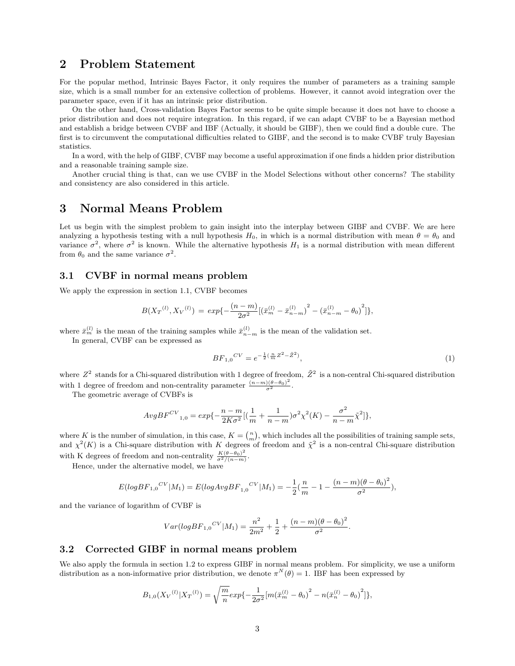# 2 Problem Statement

For the popular method, Intrinsic Bayes Factor, it only requires the number of parameters as a training sample size, which is a small number for an extensive collection of problems. However, it cannot avoid integration over the parameter space, even if it has an intrinsic prior distribution.

On the other hand, Cross-validation Bayes Factor seems to be quite simple because it does not have to choose a prior distribution and does not require integration. In this regard, if we can adapt CVBF to be a Bayesian method and establish a bridge between CVBF and IBF (Actually, it should be GIBF), then we could find a double cure. The first is to circumvent the computational difficulties related to GIBF, and the second is to make CVBF truly Bayesian statistics.

In a word, with the help of GIBF, CVBF may become a useful approximation if one finds a hidden prior distribution and a reasonable training sample size.

Another crucial thing is that, can we use CVBF in the Model Selections without other concerns? The stability and consistency are also considered in this article.

# 3 Normal Means Problem

Let us begin with the simplest problem to gain insight into the interplay between GIBF and CVBF. We are here analyzing a hypothesis testing with a null hypothesis  $H_0$ , in which is a normal distribution with mean  $\theta = \theta_0$  and variance  $\sigma^2$ , where  $\sigma^2$  is known. While the alternative hypothesis  $H_1$  is a normal distribution with mean different from  $\theta_0$  and the same variance  $\sigma^2$ .

### 3.1 CVBF in normal means problem

We apply the expression in section 1.1, CVBF becomes

$$
B(X_T^{(l)}, X_V^{(l)}) = exp{-\frac{(n-m)}{2\sigma^2}[(\bar{x}_m^{(l)} - \bar{x}_{n-m}^{(l)})^2 - (\bar{x}_{n-m}^{(l)} - \theta_0)^2]},
$$

where  $\bar{x}_{m}^{(l)}$  is the mean of the training samples while  $\bar{x}_{n-m}^{(l)}$  is the mean of the validation set.

In general, CVBF can be expressed as

$$
BF_{1,0}{}^{CV} = e^{-\frac{1}{2}(\frac{n}{m}Z^2 - \tilde{Z}^2)},\tag{1}
$$

where  $Z^2$  stands for a Chi-squared distribution with 1 degree of freedom,  $\tilde{Z}^2$  is a non-central Chi-squared distribution with 1 degree of freedom and non-centrality parameter  $\frac{(n-m)(\theta-\theta_0)^2}{\sigma^2}$ .

The geometric average of CVBFs is

$$
AvgBF^{CV}_{1,0} = exp{-\frac{n-m}{2K\sigma^2}[(\frac{1}{m} + \frac{1}{n-m})\sigma^2 \chi^2(K) - \frac{\sigma^2}{n-m}\tilde{\chi}^2]},
$$

where K is the number of simulation, in this case,  $K = \binom{n}{m}$ , which includes all the possibilities of training sample sets, and  $\chi^2(K)$  is a Chi-square distribution with K degrees of freedom and  $\tilde{\chi}^2$  is a non-central Chi-square distribution with K degrees of freedom and non-centrality  $\frac{K(\theta-\theta_0)^2}{\sigma^2/(n-m)}$  $\frac{\kappa (\theta - \theta_0)^{-1}}{\sigma^2/(n-m)}.$ 

Hence, under the alternative model, we have

$$
E(logBF_{1,0}^{CV}|M_1) = E(logAvgBF_{1,0}^{CV}|M_1) = -\frac{1}{2}(\frac{n}{m} - 1 - \frac{(n-m)(\theta - \theta_0)^2}{\sigma^2}),
$$

and the variance of logarithm of CVBF is

$$
Var(logBF_{1,0}^{CV}|M_1) = \frac{n^2}{2m^2} + \frac{1}{2} + \frac{(n-m)(\theta - \theta_0)^2}{\sigma^2}.
$$

### 3.2 Corrected GIBF in normal means problem

We also apply the formula in section 1.2 to express GIBF in normal means problem. For simplicity, we use a uniform distribution as a non-informative prior distribution, we denote  $\pi^N(\theta) = 1$ . IBF has been expressed by

$$
B_{1,0}(X_V^{(l)}|X_T^{(l)}) = \sqrt{\frac{m}{n}} exp{-\frac{1}{2\sigma^2}[m(\bar{x}_m^{(l)} - \theta_0)^2 - n(\bar{x}_n^{(l)} - \theta_0)^2]},
$$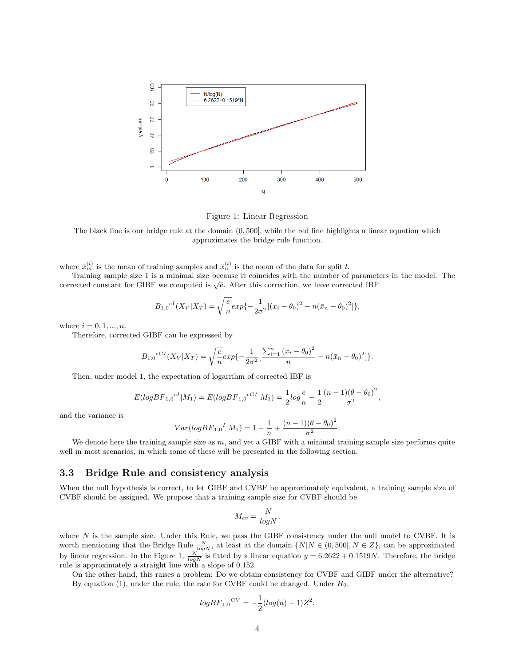

Figure 1: Linear Regression

The black line is our bridge rule at the domain (0, 500], while the red line highlights a linear equation which approximates the bridge rule function.

where  $\bar{x}_{m}^{(l)}$  is the mean of training samples and  $\bar{x}_{n}^{(l)}$  is the mean of the data for split l.

Training sample size 1 is a minimal size because it coincides with the number of parameters in the model. The Training sample size 1 is a minimal size because it coincludes with the number of parameters corrected constant for GIBF we computed is  $\sqrt{e}$ . After this correction, we have corrected IBF

$$
B_{1,0}{}^{cI}(X_V|X_T) = \sqrt{\frac{e}{n}} exp{-\frac{1}{2\sigma^2}[(x_i - \theta_0)^2 - n(\bar{x}_n - \theta_0)^2]},
$$

where  $i = 0, 1, ..., n$ .

Therefore, corrected GIBF can be expressed by

$$
B_{1,0}{}^{cGI}(X_V|X_T) = \sqrt{\frac{e}{n}} exp{-\frac{1}{2\sigma^2} \left[\frac{\sum_{i=1}^n (x_i - \theta_0)^2}{n} - n(\bar{x}_n - \theta_0)^2\right]}}.
$$

Then, under model 1, the expectation of logarithm of corrected IBF is

$$
E(logBF_{1,0}{}^{cI}|M_1) = E(logBF_{1,0}{}^{cGI}|M_1) = \frac{1}{2}log\frac{e}{n} + \frac{1}{2}\frac{(n-1)(\theta - \theta_0)^2}{\sigma^2},
$$

and the variance is

$$
Var(logBF_{1,0}{}^{I}|M_1) = 1 - \frac{1}{n} + \frac{(n-1)(\theta - \theta_0)^2}{\sigma^2}.
$$

We denote here the training sample size as  $m$ , and yet a GIBF with a minimal training sample size performs quite well in most scenarios, in which some of these will be presented in the following section.

### 3.3 Bridge Rule and consistency analysis

When the null hypothesis is correct, to let GIBF and CVBF be approximately equivalent, a training sample size of CVBF should be assigned. We propose that a training sample size for CVBF should be

$$
M_{cv} = \frac{N}{logN},
$$

where N is the sample size. Under this Rule, we pass the GIBF consistency under the null model to CVBF. It is worth mentioning that the Bridge Rule  $\frac{N}{log N}$ , at least at the domain  $\{N|N \in (0, 500], N \in \mathbb{Z}\}$ , can be approximated by linear regression. In the Figure 1,  $\frac{N}{log N}$  is fitted by a linear equation  $y = 6.2622 + 0.1519N$ . Therefore, the bridge rule is approximately a straight line with a slope of 0.152.

On the other hand, this raises a problem: Do we obtain consistency for CVBF and GIBF under the alternative? By equation (1), under the rule, the rate for CVBF could be changed. Under  $H_0$ ,

$$
logBF_{1,0}{}^{CV} = -\frac{1}{2}(log(n) - 1)Z^2,
$$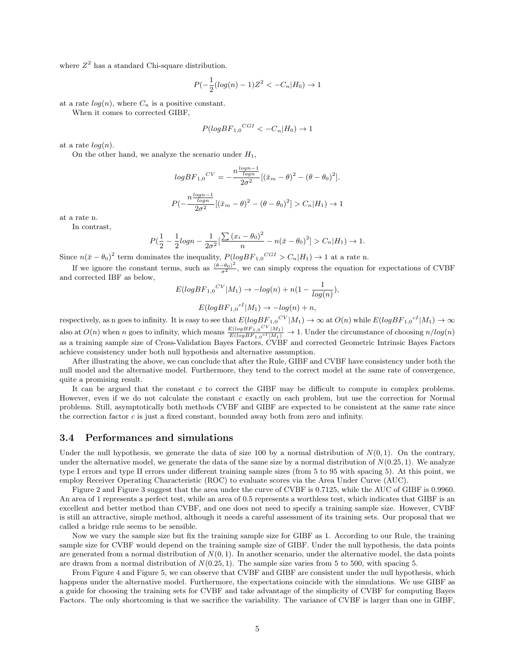where  $Z^2$  has a standard Chi-square distribution.

$$
P(-\frac{1}{2}(log(n) - 1)Z^2 < -C_n|H_0) \to 1
$$

at a rate  $log(n)$ , where  $C_n$  is a positive constant.

When it comes to corrected GIBF,

$$
P(\log BF_{1,0}{}^{CGI} < -C_n|H_0) \to 1
$$

at a rate  $log(n)$ .

On the other hand, we analyze the scenario under  $H_1$ ,

$$
logBF_{1,0}^{CV} = -\frac{n\frac{log n-1}{log n}}{2\sigma^2} [(\bar{x}_m - \theta)^2 - (\theta - \theta_0)^2].
$$
  

$$
P(-\frac{n\frac{log n-1}{log n}}{2\sigma^2} [(\bar{x}_m - \theta)^2 - (\theta - \theta_0)^2] > C_n|H_1) \to 1
$$

at a rate n.

In contrast,

$$
P(\frac{1}{2} - \frac{1}{2}log n - \frac{1}{2\sigma^2} \left[ \frac{\sum (x_i - \theta_0)^2}{n} - n(\bar{x} - \theta_0)^2 \right] > C_n|H_1) \to 1.
$$

Since  $n(\bar{x} - \theta_0)^2$  term dominates the inequality,  $P(logBF_{1,0}^{CGI} > C_n|H_1) \rightarrow 1$  at a rate n.

If we ignore the constant terms, such as  $\frac{(\theta-\theta_0)^2}{\sigma^2}$ , we can simply express the equation for expectations of CVBF and corrected IBF as below,

$$
E(logBF_{1,0}^{CV}|M_1) \rightarrow -log(n) + n(1 - \frac{1}{log(n)}),
$$
  

$$
E(logBF_{1,0}^{cI}|M_1) \rightarrow -log(n) + n,
$$

respectively, as n goes to infinity. It is easy to see that  $E(logBF_{1,0}^{CV}|M_1) \to \infty$  at  $O(n)$  while  $E(logBF_{1,0}^{cl}|M_1) \to \infty$ also at  $O(n)$  when n goes to infinity, which means  $\frac{E(logBF_{1,0}CV|M_1)}{E(logBF_{1,0}CI|M_1)}$  $\frac{E(logBF_{1,0} + |M_1|}{E(logBF_{1,0}cI|M_1)}$   $\rightarrow$  1. Under the circumstance of choosing  $n/log(n)$ as a training sample size of Cross-Validation Bayes Factors, CVBF and corrected Geometric Intrinsic Bayes Factors achieve consistency under both null hypothesis and alternative assumption.

After illustrating the above, we can conclude that after the Rule, GIBF and CVBF have consistency under both the null model and the alternative model. Furthermore, they tend to the correct model at the same rate of convergence, quite a promising result.

It can be argued that the constant  $c$  to correct the GIBF may be difficult to compute in complex problems. However, even if we do not calculate the constant  $c$  exactly on each problem, but use the correction for Normal problems. Still, asymptotically both methods CVBF and GIBF are expected to be consistent at the same rate since the correction factor c is just a fixed constant, bounded away both from zero and infinity.

#### 3.4 Performances and simulations

Under the null hypothesis, we generate the data of size 100 by a normal distribution of  $N(0, 1)$ . On the contrary, under the alternative model, we generate the data of the same size by a normal distribution of  $N(0.25, 1)$ . We analyze type I errors and type II errors under different training sample sizes (from 5 to 95 with spacing 5). At this point, we employ Receiver Operating Characteristic (ROC) to evaluate scores via the Area Under Curve (AUC).

Figure 2 and Figure 3 suggest that the area under the curve of CVBF is 0.7125, while the AUC of GIBF is 0.9960. An area of 1 represents a perfect test, while an area of 0.5 represents a worthless test, which indicates that GIBF is an excellent and better method than CVBF, and one does not need to specify a training sample size. However, CVBF is still an attractive, simple method, although it needs a careful assessment of its training sets. Our proposal that we called a bridge rule seems to be sensible.

Now we vary the sample size but fix the training sample size for GIBF as 1. According to our Rule, the training sample size for CVBF would depend on the training sample size of GIBF. Under the null hypothesis, the data points are generated from a normal distribution of  $N(0, 1)$ . In another scenario, under the alternative model, the data points are drawn from a normal distribution of  $N(0.25, 1)$ . The sample size varies from 5 to 500, with spacing 5.

From Figure 4 and Figure 5, we can observe that CVBF and GIBF are consistent under the null hypothesis, which happens under the alternative model. Furthermore, the expectations coincide with the simulations. We use GIBF as a guide for choosing the training sets for CVBF and take advantage of the simplicity of CVBF for computing Bayes Factors. The only shortcoming is that we sacrifice the variability. The variance of CVBF is larger than one in GIBF,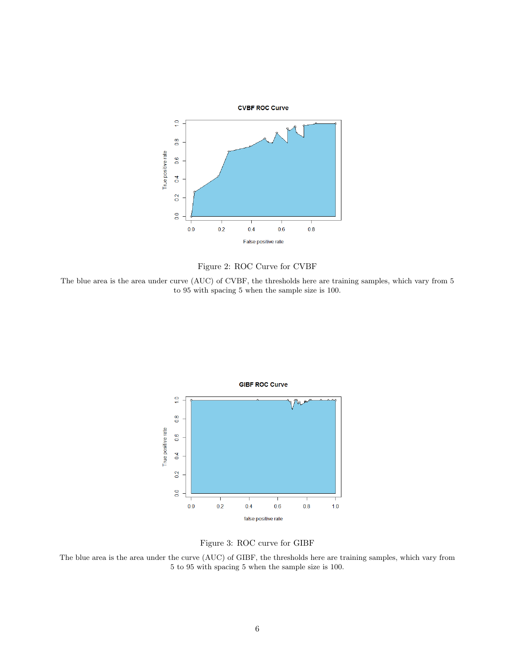



The blue area is the area under curve (AUC) of CVBF, the thresholds here are training samples, which vary from 5 to 95 with spacing 5 when the sample size is 100.





The blue area is the area under the curve (AUC) of GIBF, the thresholds here are training samples, which vary from 5 to 95 with spacing 5 when the sample size is 100.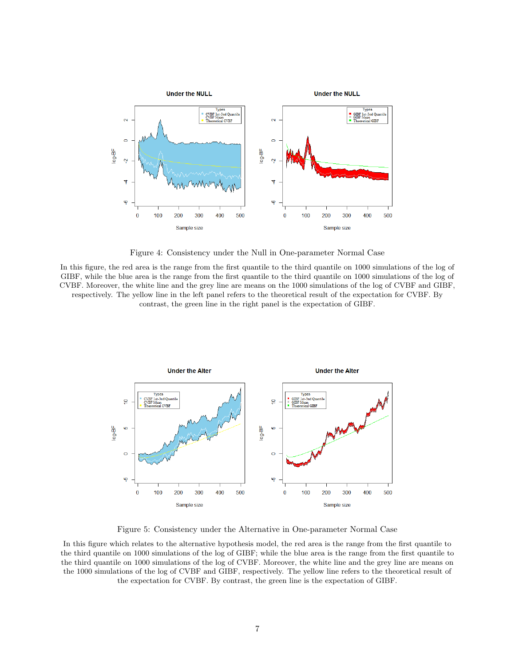

Figure 4: Consistency under the Null in One-parameter Normal Case

In this figure, the red area is the range from the first quantile to the third quantile on 1000 simulations of the log of GIBF, while the blue area is the range from the first quantile to the third quantile on 1000 simulations of the log of CVBF. Moreover, the white line and the grey line are means on the 1000 simulations of the log of CVBF and GIBF, respectively. The yellow line in the left panel refers to the theoretical result of the expectation for CVBF. By contrast, the green line in the right panel is the expectation of GIBF.



Figure 5: Consistency under the Alternative in One-parameter Normal Case

In this figure which relates to the alternative hypothesis model, the red area is the range from the first quantile to the third quantile on 1000 simulations of the log of GIBF; while the blue area is the range from the first quantile to the third quantile on 1000 simulations of the log of CVBF. Moreover, the white line and the grey line are means on the 1000 simulations of the log of CVBF and GIBF, respectively. The yellow line refers to the theoretical result of the expectation for CVBF. By contrast, the green line is the expectation of GIBF.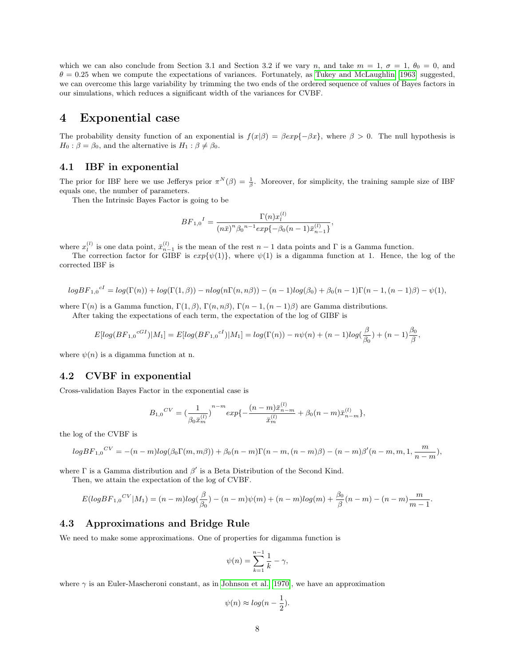which we can also conclude from Section 3.1 and Section 3.2 if we vary n, and take  $m = 1$ ,  $\sigma = 1$ ,  $\theta_0 = 0$ , and  $\theta = 0.25$  when we compute the expectations of variances. Fortunately, as [Tukey and McLaughlin \[1963\]](#page-22-2) suggested, we can overcome this large variability by trimming the two ends of the ordered sequence of values of Bayes factors in our simulations, which reduces a significant width of the variances for CVBF.

# 4 Exponential case

The probability density function of an exponential is  $f(x|\beta) = \beta \exp{-\beta x}$ , where  $\beta > 0$ . The null hypothesis is  $H_0$ :  $\beta = \beta_0$ , and the alternative is  $H_1$ :  $\beta \neq \beta_0$ .

## 4.1 IBF in exponential

The prior for IBF here we use Jefferys prior  $\pi^N(\beta) = \frac{1}{\beta}$ . Moreover, for simplicity, the training sample size of IBF equals one, the number of parameters.

Then the Intrinsic Bayes Factor is going to be

$$
BF_{1,0}{}^{I}=\frac{\Gamma(n)x_{l}^{(l)}}{(n\bar{x})^{n}\beta_{0}{}^{n-1}exp\{-\beta_{0}(n-1)\bar{x}_{n-1}^{(l)}\}},
$$

where  $x_l^{(l)}$  is one data point,  $\bar{x}_{n-1}^{(l)}$  is the mean of the rest  $n-1$  data points and  $\Gamma$  is a Gamma function.

The correction factor for GIBF is  $exp{\psi(1)}$ , where  $\psi(1)$  is a digamma function at 1. Hence, the log of the corrected IBF is

$$
logBF_{1,0}{}^{cI} = log(\Gamma(n)) + log(\Gamma(1,\beta)) - nlog(n\Gamma(n,n\beta)) - (n-1)log(\beta_0) + \beta_0(n-1)\Gamma(n-1,(n-1)\beta) - \psi(1),
$$

where  $\Gamma(n)$  is a Gamma function,  $\Gamma(1,\beta)$ ,  $\Gamma(n,n\beta)$ ,  $\Gamma(n-1,(n-1)\beta)$  are Gamma distributions. After taking the expectations of each term, the expectation of the log of GIBF is

$$
E[log(BF_{1,0}{}^{cG_I})|M_1] = E[log(BF_{1,0}{}^{cI})|M_1] = log(\Gamma(n)) - n\psi(n) + (n-1)log(\frac{\beta}{\beta_0}) + (n-1)\frac{\beta_0}{\beta},
$$

where  $\psi(n)$  is a digamma function at n.

#### 4.2 CVBF in exponential

Cross-validation Bayes Factor in the exponential case is

$$
{B_{1,0}}^{CV} = {(\frac{1}{{\beta _0}\bar x_m^{(l)}})^{n-m} exp\{ - \frac{{(n - m)\bar x_{n - m}^{(l)}}}{{\bar x_m^{(l)}}} + {\beta _0}(n - m)\bar x_{n - m}^{(l)}}\},
$$

the log of the CVBF is

$$
logBF_{1,0}^{CV} = -(n-m)log(\beta_0 \Gamma(m, m\beta)) + \beta_0 (n-m) \Gamma(n-m, (n-m)\beta) - (n-m)\beta'(n-m, m, 1, \frac{m}{n-m}),
$$

where  $\Gamma$  is a Gamma distribution and  $\beta'$  is a Beta Distribution of the Second Kind.

Then, we attain the expectation of the log of CVBF.

$$
E(logBF_{1,0}^{CV}|M_1) = (n-m)log(\frac{\beta}{\beta_0}) - (n-m)\psi(m) + (n-m)log(m) + \frac{\beta_0}{\beta}(n-m) - (n-m)\frac{m}{m-1}.
$$

### 4.3 Approximations and Bridge Rule

We need to make some approximations. One of properties for digamma function is

$$
\psi(n) = \sum_{k=1}^{n-1} \frac{1}{k} - \gamma,
$$

where  $\gamma$  is an Euler-Mascheroni constant, as in [Johnson et al. \[1970\]](#page-22-3), we have an approximation

$$
\psi(n) \approx \log(n - \frac{1}{2}).
$$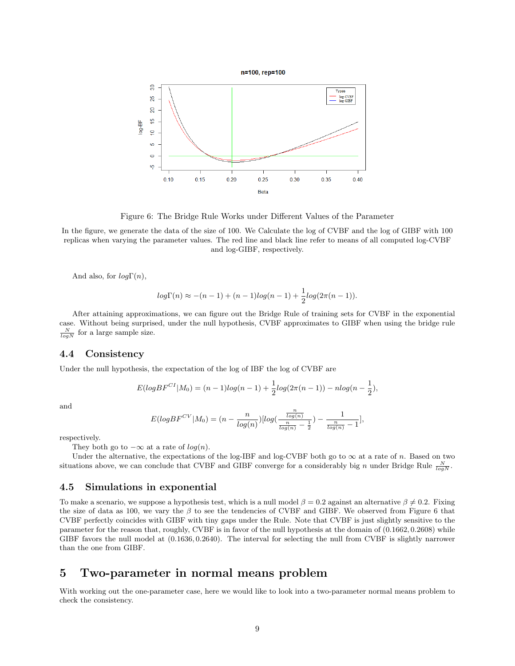

Figure 6: The Bridge Rule Works under Different Values of the Parameter

In the figure, we generate the data of the size of 100. We Calculate the log of CVBF and the log of GIBF with 100 replicas when varying the parameter values. The red line and black line refer to means of all computed log-CVBF and log-GIBF, respectively.

And also, for  $log\Gamma(n)$ ,

$$
log\Gamma(n) \approx -(n-1) + (n-1)log(n-1) + \frac{1}{2}log(2\pi(n-1)).
$$

After attaining approximations, we can figure out the Bridge Rule of training sets for CVBF in the exponential case. Without being surprised, under the null hypothesis, CVBF approximates to GIBF when using the bridge rule  $\frac{N}{log N}$  for a large sample size.

### 4.4 Consistency

Under the null hypothesis, the expectation of the log of IBF the log of CVBF are

$$
E(logBF^{CI}|M_0) = (n-1)log(n-1) + \frac{1}{2}log(2\pi(n-1)) - nlog(n-\frac{1}{2}),
$$

and

$$
E(logBF^{CV}|M_0) = (n - \frac{n}{log(n)})[log(\frac{\frac{n}{log(n)}}{\frac{n}{log(n)} - \frac{1}{2}}) - \frac{1}{\frac{n}{log(n)} - 1}],
$$

respectively.

They both go to  $-\infty$  at a rate of  $log(n)$ .

Under the alternative, the expectations of the log-IBF and log-CVBF both go to  $\infty$  at a rate of n. Based on two situations above, we can conclude that CVBF and GIBF converge for a considerably big n under Bridge Rule  $\frac{N}{log N}$ .

#### 4.5 Simulations in exponential

To make a scenario, we suppose a hypothesis test, which is a null model  $\beta = 0.2$  against an alternative  $\beta \neq 0.2$ . Fixing the size of data as 100, we vary the  $\beta$  to see the tendencies of CVBF and GIBF. We observed from Figure 6 that CVBF perfectly coincides with GIBF with tiny gaps under the Rule. Note that CVBF is just slightly sensitive to the parameter for the reason that, roughly, CVBF is in favor of the null hypothesis at the domain of (0.1662, 0.2608) while GIBF favors the null model at (0.1636, 0.2640). The interval for selecting the null from CVBF is slightly narrower than the one from GIBF.

# 5 Two-parameter in normal means problem

With working out the one-parameter case, here we would like to look into a two-parameter normal means problem to check the consistency.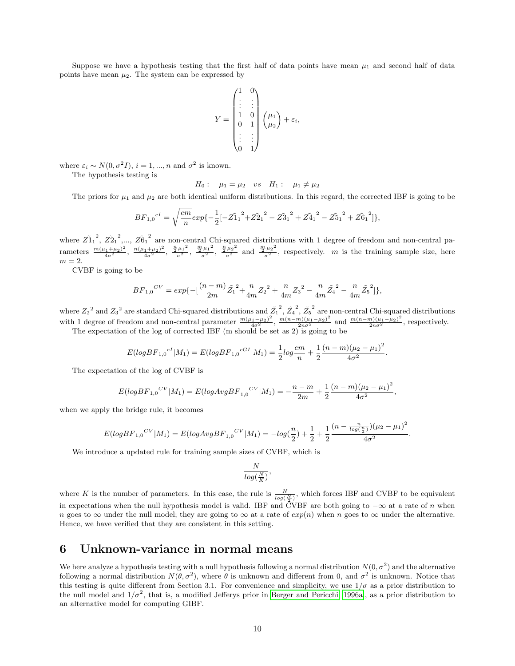Suppose we have a hypothesis testing that the first half of data points have mean  $\mu_1$  and second half of data points have mean  $\mu_2$ . The system can be expressed by

$$
Y = \begin{pmatrix} 1 & 0 \\ \vdots & \vdots \\ 1 & 0 \\ 0 & 1 \\ \vdots & \vdots \\ 0 & 1 \end{pmatrix} \begin{pmatrix} \mu_1 \\ \mu_2 \end{pmatrix} + \varepsilon_i,
$$

where  $\varepsilon_i \sim N(0, \sigma^2 I)$ ,  $i = 1, ..., n$  and  $\sigma^2$  is known.

The hypothesis testing is

 $H_0: \mu_1 = \mu_2 \quad vs \quad H_1: \mu_1 \neq \mu_2$ 

The priors for  $\mu_1$  and  $\mu_2$  are both identical uniform distributions. In this regard, the corrected IBF is going to be

$$
BF_{1,0}{}^{cI} = \sqrt{\frac{em}{n}} exp{-\frac{1}{2}[-\tilde{Z_1}{}^{2} + \tilde{Z_2}{}^{2} - \tilde{Z_3}{}^{2} + \tilde{Z_4}{}^{2} - \tilde{Z_5}{}^{2} + \tilde{Z_6}{}^{2}]};
$$

where  $\tilde{Z_1}_1^2$ ,  $\tilde{Z_2}_1^2$ ,...,  $\tilde{Z_0}_1^2$  are non-central Chi-squared distributions with 1 degree of freedom and non-central parameters  $\frac{m(\mu_1+\mu_2)^2}{4\sigma^2}$ ,  $\frac{n(\mu_1+\mu_2)^2}{4\sigma^2}$ ,  $\frac{\frac{n}{2}\mu_1^2}{\sigma^2}$ ,  $\frac{\frac{n}{2}\mu_2^2}{\sigma^2}$  and  $\frac{\frac{m}{2}\mu_2^2}{\sigma^2}$ , respectively. *m* is the training sample size, here  $m=2.$ 

CVBF is going to be

$$
BF_{1,0}{}^{CV}=exp\{-[\frac{(n-m)}{2m}\tilde{Z_1}^2+\frac{n}{4m}{Z_2}^2+\frac{n}{4m}{Z_3}^2-\frac{n}{4m}\tilde{Z_4}^2-\frac{n}{4m}\tilde{Z_5}^2]\},
$$

where  $Z_2^2$  and  $Z_3^2$  are standard Chi-squared distributions and  $\tilde{Z_1}^2$ ,  $\tilde{Z_4}^2$ ,  $\tilde{Z_5}^2$  are non-central Chi-squared distributions with 1 degree of freedom and non-central parameter  $\frac{m(\mu_1 - \mu_2)^2}{4\sigma^2}$ ,  $\frac{m(n-m)(\mu_1 - \mu_2)^2}{2n\sigma^2}$  and  $\frac{m(n-m)(\mu_1 - \mu_2)^2}{2n\sigma^2}$ , respectively.

The expectation of the log of corrected IBF (m should be set as 2) is going to be

$$
E(logBF_{1,0}{}^{cI}|M_1) = E(logBF_{1,0}{}^{cGI}|M_1) = \frac{1}{2}log\frac{em}{n} + \frac{1}{2}\frac{(n-m)(\mu_2 - \mu_1)^2}{4\sigma^2}.
$$

The expectation of the log of CVBF is

$$
E(logBF_{1,0}^{CV}|M_1) = E(logAvgBF_{1,0}^{CV}|M_1) = -\frac{n-m}{2m} + \frac{1}{2}\frac{(n-m)(\mu_2 - \mu_1)^2}{4\sigma^2},
$$

when we apply the bridge rule, it becomes

$$
E(logBF_{1,0}^{CV}|M_1) = E(logAvgBF_{1,0}^{CV}|M_1) = -log(\frac{n}{2}) + \frac{1}{2} + \frac{1}{2} \frac{(n - \frac{n}{log(\frac{n}{2})})(\mu_2 - \mu_1)^2}{4\sigma^2}.
$$

We introduce a updated rule for training sample sizes of CVBF, which is

$$
\frac{N}{log(\frac{N}{K})},
$$

where K is the number of parameters. In this case, the rule is  $\frac{N}{log(\frac{N}{2})}$ , which forces IBF and CVBF to be equivalent in expectations when the null hypothesis model is valid. IBF and CVBF are both going to  $-\infty$  at a rate of n when n goes to  $\infty$  under the null model; they are going to  $\infty$  at a rate of  $exp(n)$  when n goes to  $\infty$  under the alternative. Hence, we have verified that they are consistent in this setting.

# 6 Unknown-variance in normal means

We here analyze a hypothesis testing with a null hypothesis following a normal distribution  $N(0, \sigma^2)$  and the alternative following a normal distribution  $N(\theta, \sigma^2)$ , where  $\theta$  is unknown and different from 0, and  $\sigma^2$  is unknown. Notice that this testing is quite different from Section 3.1. For convenience and simplicity, we use  $1/\sigma$  as a prior distribution to the null model and  $1/\sigma^2$ , that is, a modified Jefferys prior in [Berger and Pericchi \[1996a\]](#page-22-0), as a prior distribution to an alternative model for computing GIBF.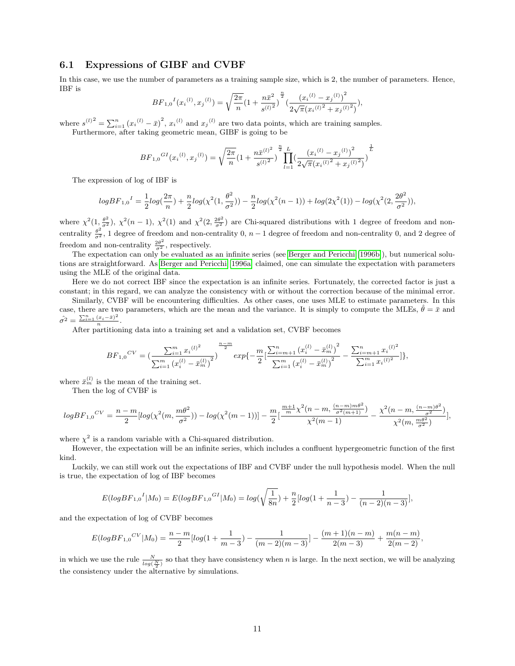### 6.1 Expressions of GIBF and CVBF

In this case, we use the number of parameters as a training sample size, which is 2, the number of parameters. Hence, IBF is n

$$
BF_{1,0}{}^{I}(x_i{}^{(l)}, x_j{}^{(l)}) = \sqrt{\frac{2\pi}{n}} \left(1 + \frac{n\bar{x}^2}{s^{(l)^2}}\right)^{\frac{n}{2}} \left(\frac{(x_i{}^{(l)} - x_j{}^{(l)})^2}{2\sqrt{\pi}(x_i{}^{(l)^2} + x_j{}^{(l)^2})}\right),
$$

where  $s^{(l)}^2 = \sum_{i=1}^n (x_i^{(l)} - \bar{x})^2$ ,  $x_i^{(l)}$  and  $x_j^{(l)}$  are two data points, which are training samples.

Furthermore, after taking geometric mean, GIBF is going to be

$$
BF_{1,0}{}^{GI}(x_i{}^{(l)}, x_j{}^{(l)}) = \sqrt{\frac{2\pi}{n}} \left(1 + \frac{n\bar{x}{}^{(l)^2}}{s^{(l)^2}}\right)^{\frac{n}{2}} \prod_{l=1}^L \left(\frac{\left(x_i{}^{(l)} - x_j{}^{(l)}\right)^2}{2\sqrt{\pi}\left(x_i{}^{(l)^2} + x_j{}^{(l)^2}\right)}\right)^{\frac{1}{L}}
$$

The expression of log of IBF is

$$
logBF_{1,0}{}^{I}=\frac{1}{2}log(\frac{2\pi}{n})+\frac{n}{2}log(\chi^2(1,\frac{\theta^2}{\sigma^2}))- \frac{n}{2}log(\chi^2(n-1))+log(2\chi^2(1))-log(\chi^2(2,\frac{2\theta^2}{\sigma^2})),
$$

where  $\chi^2(1, \frac{\theta^2}{\sigma^2})$ ,  $\chi^2(n-1)$ ,  $\chi^2(1)$  and  $\chi^2(2, \frac{2\theta^2}{\sigma^2})$  are Chi-squared distributions with 1 degree of freedom and noncentrality  $\frac{\theta^2}{\sigma^2}$ , 1 degree of freedom and non-centrality 0, n – 1 degree of freedom and non-centrality 0, and 2 degree of freedom and non-centrality  $\frac{2\theta^2}{\sigma^2}$ , respectively.

The expectation can only be evaluated as an infinite series (see [Berger and Pericchi \[1996b\]](#page-22-4)), but numerical solutions are straightforward. As [Berger and Pericchi \[1996a\]](#page-22-0) claimed, one can simulate the expectation with parameters using the MLE of the original data.

Here we do not correct IBF since the expectation is an infinite series. Fortunately, the corrected factor is just a constant; in this regard, we can analyze the consistency with or without the correction because of the minimal error.

Similarly, CVBF will be encountering difficulties. As other cases, one uses MLE to estimate parameters. In this case, there are two parameters, which are the mean and the variance. It is simply to compute the MLEs, 
$$
\hat{\theta} = \bar{x}
$$
 and  $\hat{\sigma}^2 = \frac{\sum_{i=1}^n (x_i - \bar{x})^2}{n}$ .

After partitioning data into a training set and a validation set, CVBF becomes

$$
BF_{1,0}{}^{CV} = \left(\frac{\sum_{i=1}^{m} x_i^{(l)^2}}{\sum_{i=1}^{m} (x_i^{(l)} - \bar{x}_m^{(l)})^2}\right)^{\frac{n-m}{2}} exp\left\{-\frac{m}{2} \left[\frac{\sum_{i=m+1}^{n} (x_i^{(l)} - \bar{x}_m^{(l)})^2}{\sum_{i=1}^{m} (x_i^{(l)} - \bar{x}_m^{(l)})^2}\right. - \frac{\sum_{i=m+1}^{n} x_i^{(l)^2}}{\sum_{i=1}^{m} x_i^{(l)^2}}\right]\},
$$

where  $\bar{x}_{m}^{(l)}$  is the mean of the training set.

Then the log of CVBF is

$$
logBF_{1,0}{}^{CV}=\frac{n-m}{2}[log(\chi^2(m,\frac{m\theta^2}{\sigma^2}))-log(\chi^2(m-1))]-\frac{m}{2}[\frac{\frac{m+1}{m}\chi^2(n-m,\frac{(n-m)m\theta^2}{\sigma^2(m+1)})}{\chi^2(m-1)}-\frac{\chi^2(n-m,\frac{(n-m)\theta^2}{\sigma^2})}{\chi^2(m,\frac{m\theta^2}{\sigma^2})}],
$$

where  $\chi^2$  is a random variable with a Chi-squared distribution.

However, the expectation will be an infinite series, which includes a confluent hypergeometric function of the first kind.

Luckily, we can still work out the expectations of IBF and CVBF under the null hypothesis model. When the null is true, the expectation of log of IBF becomes

$$
E(logBF_{1,0}{}^{I}|M_0) = E(logBF_{1,0}{}^{GI}|M_0) = log(\sqrt{\frac{1}{8n}}) + \frac{n}{2}[log(1 + \frac{1}{n-3}) - \frac{1}{(n-2)(n-3)}],
$$

and the expectation of log of CVBF becomes

$$
E(logBF_{1,0}{}^{CV}|M_0) = \frac{n-m}{2}[log(1+\frac{1}{m-3}) - \frac{1}{(m-2)(m-3)}] - \frac{(m+1)(n-m)}{2(m-3)} + \frac{m(n-m)}{2(m-2)},
$$

in which we use the rule  $\frac{N}{\log(\frac{N}{2})}$  so that they have consistency when n is large. In the next section, we will be analyzing the consistency under the alternative by simulations.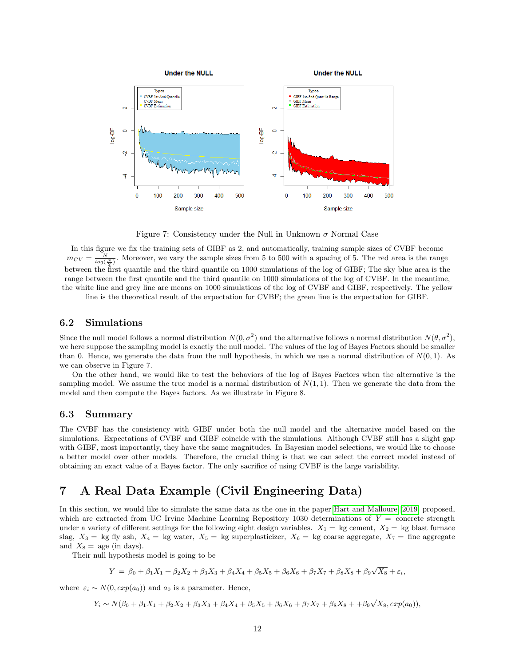

Figure 7: Consistency under the Null in Unknown  $\sigma$  Normal Case

In this figure we fix the training sets of GIBF as 2, and automatically, training sample sizes of CVBF become  $m_{CV} = \frac{N}{log(\frac{N}{2})}$ . Moreover, we vary the sample sizes from 5 to 500 with a spacing of 5. The red area is the range between the first quantile and the third quantile on 1000 simulations of the log of GIBF; The sky blue area is the range between the first quantile and the third quantile on 1000 simulations of the log of CVBF. In the meantime, the white line and grey line are means on 1000 simulations of the log of CVBF and GIBF, respectively. The yellow

line is the theoretical result of the expectation for CVBF; the green line is the expectation for GIBF.

### 6.2 Simulations

Since the null model follows a normal distribution  $N(0, \sigma^2)$  and the alternative follows a normal distribution  $N(\theta, \sigma^2)$ , we here suppose the sampling model is exactly the null model. The values of the log of Bayes Factors should be smaller than 0. Hence, we generate the data from the null hypothesis, in which we use a normal distribution of  $N(0, 1)$ . As we can observe in Figure 7.

On the other hand, we would like to test the behaviors of the log of Bayes Factors when the alternative is the sampling model. We assume the true model is a normal distribution of  $N(1, 1)$ . Then we generate the data from the model and then compute the Bayes factors. As we illustrate in Figure 8.

### 6.3 Summary

The CVBF has the consistency with GIBF under both the null model and the alternative model based on the simulations. Expectations of CVBF and GIBF coincide with the simulations. Although CVBF still has a slight gap with GIBF, most importantly, they have the same magnitudes. In Bayesian model selections, we would like to choose a better model over other models. Therefore, the crucial thing is that we can select the correct model instead of obtaining an exact value of a Bayes factor. The only sacrifice of using CVBF is the large variability.

# 7 A Real Data Example (Civil Engineering Data)

In this section, we would like to simulate the same data as the one in the paper [Hart and Malloure \[2019\]](#page-22-1) proposed, which are extracted from UC Irvine Machine Learning Repository 1030 determinations of  $Y =$  concrete strength under a variety of different settings for the following eight design variables.  $X_1 = \text{kg}$  cement,  $X_2 = \text{kg}$  blast furnace slag,  $X_3 =$  kg fly ash,  $X_4 =$  kg water,  $X_5 =$  kg superplasticizer,  $X_6 =$  kg coarse aggregate,  $X_7 =$  fine aggregate and  $X_8 = \text{age (in days)}$ .

Their null hypothesis model is going to be

$$
Y = \beta_0 + \beta_1 X_1 + \beta_2 X_2 + \beta_3 X_3 + \beta_4 X_4 + \beta_5 X_5 + \beta_6 X_6 + \beta_7 X_7 + \beta_8 X_8 + \beta_9 \sqrt{X_8} + \varepsilon_i,
$$

where  $\varepsilon_i \sim N(0, exp(a_0))$  and  $a_0$  is a parameter. Hence,

 $Y_i \sim N(\beta_0 + \beta_1 X_1 + \beta_2 X_2 + \beta_3 X_3 + \beta_4 X_4 + \beta_5 X_5 + \beta_6 X_6 + \beta_7 X_7 + \beta_8 X_8 + \beta_9 \sqrt{X_8}, exp(a_0)),$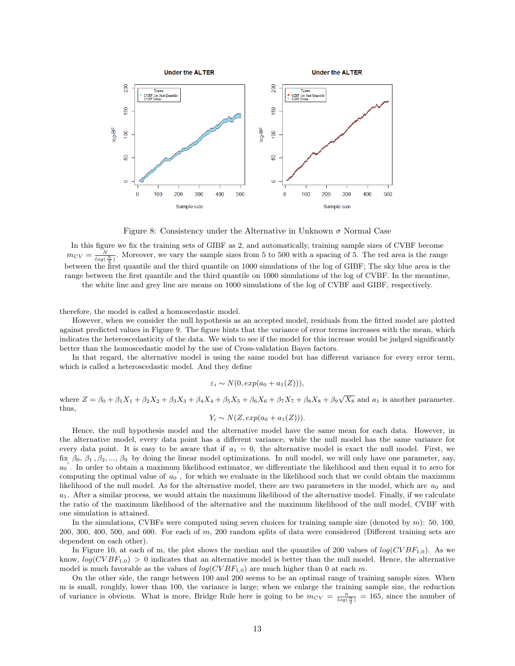

Figure 8: Consistency under the Alternative in Unknown  $\sigma$  Normal Case

In this figure we fix the training sets of GIBF as 2, and automatically, training sample sizes of CVBF become  $m_{CV} = \frac{N}{log(\frac{N}{2})}$ . Moreover, we vary the sample sizes from 5 to 500 with a spacing of 5. The red area is the range between the first quantile and the third quantile on 1000 simulations of the log of GIBF; The sky blue area is the range between the first quantile and the third quantile on 1000 simulations of the log of CVBF. In the meantime,

the white line and grey line are means on 1000 simulations of the log of CVBF and GIBF, respectively.

therefore, the model is called a homoscedastic model.

However, when we consider the null hypothesis as an accepted model, residuals from the fitted model are plotted against predicted values in Figure 9. The figure hints that the variance of error terms increases with the mean, which indicates the heteroscedasticity of the data. We wish to see if the model for this increase would be judged significantly better than the homoscedastic model by the use of Cross-validation Bayes factors.

In that regard, the alternative model is using the same model but has different variance for every error term, which is called a heteroscedastic model. And they define

$$
\varepsilon_i \sim N(0, exp(a_0 + a_1(Z))),
$$

where  $Z = \beta_0 + \beta_1 X_1 + \beta_2 X_2 + \beta_3 X_3 + \beta_4 X_4 + \beta_5 X_5 + \beta_6 X_6 + \beta_7 X_7 + \beta_8 X_8 + \beta_9 \sqrt{X_8}$  and  $a_1$  is another parameter. thus,

$$
Y_i \sim N(Z, exp(a_0 + a_1(Z))).
$$

Hence, the null hypothesis model and the alternative model have the same mean for each data. However, in the alternative model, every data point has a different variance, while the null model has the same variance for every data point. It is easy to be aware that if  $a_1 = 0$ , the alternative model is exact the null model. First, we fix  $\beta_0$ ,  $\beta_1$ ,  $\beta_2$ , ...,  $\beta_9$  by doing the linear model optimizations. In null model, we will only have one parameter, say,  $a_0$ . In order to obtain a maximum likelihood estimator, we differentiate the likelihood and then equal it to zero for computing the optimal value of  $a_0'$ , for which we evaluate in the likelihood such that we could obtain the maximum likelihood of the null model. As for the alternative model, there are two parameters in the model, which are  $a_0$  and  $a_1$ . After a similar process, we would attain the maximum likelihood of the alternative model. Finally, if we calculate the ratio of the maximum likelihood of the alternative and the maximum likelihood of the null model, CVBF with one simulation is attained.

In the simulations, CVBFs were computed using seven choices for training sample size (denoted by  $m$ ): 50, 100,  $200, 300, 400, 500,$  and  $600$ . For each of m,  $200$  random splits of data were considered (Different training sets are dependent on each other).

In Figure 10, at each of m, the plot shows the median and the quantiles of 200 values of  $log(CVBF_{1,0})$ . As we know,  $log(CVBF_{1,0}) > 0$  indicates that an alternative model is better than the null model. Hence, the alternative model is much favorable as the values of  $log(CVBF_{1,0})$  are much higher than 0 at each m.

On the other side, the range between 100 and 200 seems to be an optimal range of training sample sizes. When m is small, roughly, lower than 100, the variance is large; when we enlarge the training sample size, the reduction of variance is obvious. What is more, Bridge Rule here is going to be  $m_{CV} = \frac{n}{\log(\frac{n}{2})} = 165$ , since the number of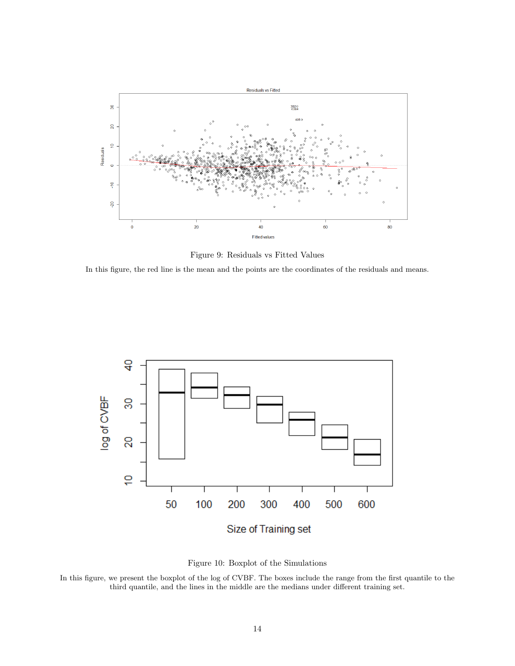

Figure 9: Residuals vs Fitted Values

In this figure, the red line is the mean and the points are the coordinates of the residuals and means.





In this figure, we present the boxplot of the log of CVBF. The boxes include the range from the first quantile to the third quantile, and the lines in the middle are the medians under different training set.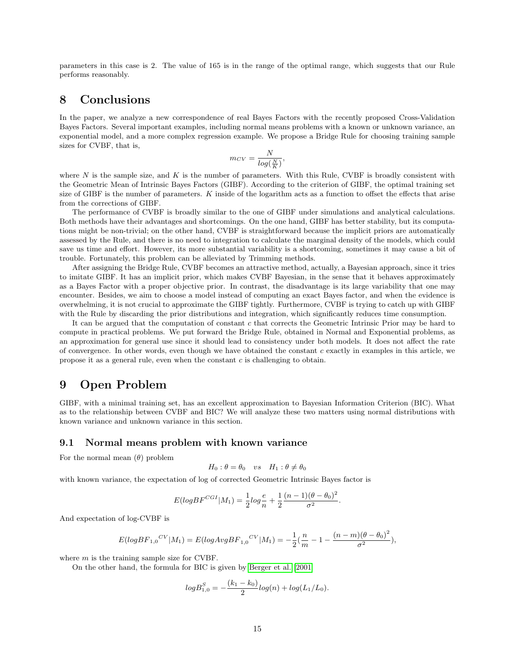parameters in this case is 2. The value of 165 is in the range of the optimal range, which suggests that our Rule performs reasonably.

# 8 Conclusions

In the paper, we analyze a new correspondence of real Bayes Factors with the recently proposed Cross-Validation Bayes Factors. Several important examples, including normal means problems with a known or unknown variance, an exponential model, and a more complex regression example. We propose a Bridge Rule for choosing training sample sizes for CVBF, that is,

$$
m_{CV} = \frac{N}{log(\frac{N}{K})},
$$

where  $N$  is the sample size, and  $K$  is the number of parameters. With this Rule, CVBF is broadly consistent with the Geometric Mean of Intrinsic Bayes Factors (GIBF). According to the criterion of GIBF, the optimal training set size of GIBF is the number of parameters. K inside of the logarithm acts as a function to offset the effects that arise from the corrections of GIBF.

The performance of CVBF is broadly similar to the one of GIBF under simulations and analytical calculations. Both methods have their advantages and shortcomings. On the one hand, GIBF has better stability, but its computations might be non-trivial; on the other hand, CVBF is straightforward because the implicit priors are automatically assessed by the Rule, and there is no need to integration to calculate the marginal density of the models, which could save us time and effort. However, its more substantial variability is a shortcoming, sometimes it may cause a bit of trouble. Fortunately, this problem can be alleviated by Trimming methods.

After assigning the Bridge Rule, CVBF becomes an attractive method, actually, a Bayesian approach, since it tries to imitate GIBF. It has an implicit prior, which makes CVBF Bayesian, in the sense that it behaves approximately as a Bayes Factor with a proper objective prior. In contrast, the disadvantage is its large variability that one may encounter. Besides, we aim to choose a model instead of computing an exact Bayes factor, and when the evidence is overwhelming, it is not crucial to approximate the GIBF tightly. Furthermore, CVBF is trying to catch up with GIBF with the Rule by discarding the prior distributions and integration, which significantly reduces time consumption.

It can be argued that the computation of constant c that corrects the Geometric Intrinsic Prior may be hard to compute in practical problems. We put forward the Bridge Rule, obtained in Normal and Exponential problems, as an approximation for general use since it should lead to consistency under both models. It does not affect the rate of convergence. In other words, even though we have obtained the constant c exactly in examples in this article, we propose it as a general rule, even when the constant  $c$  is challenging to obtain.

# 9 Open Problem

GIBF, with a minimal training set, has an excellent approximation to Bayesian Information Criterion (BIC). What as to the relationship between CVBF and BIC? We will analyze these two matters using normal distributions with known variance and unknown variance in this section.

### 9.1 Normal means problem with known variance

For the normal mean  $(\theta)$  problem

$$
H_0: \theta = \theta_0 \quad vs \quad H_1: \theta \neq \theta_0
$$

with known variance, the expectation of log of corrected Geometric Intrinsic Bayes factor is

$$
E(logBF^{CGI}|M_1) = \frac{1}{2}log\frac{e}{n} + \frac{1}{2}\frac{(n-1)(\theta - \theta_0)^2}{\sigma^2}.
$$

And expectation of log-CVBF is

$$
E(logBF_{1,0}^{CV}|M_1) = E(logAvgBF_{1,0}^{CV}|M_1) = -\frac{1}{2}(\frac{n}{m} - 1 - \frac{(n-m)(\theta - \theta_0)^2}{\sigma^2}),
$$

where  $m$  is the training sample size for CVBF.

On the other hand, the formula for BIC is given by [Berger et al. \[2001\]](#page-22-5)

$$
log B_{1,0}^{S} = -\frac{(k_1 - k_0)}{2} log(n) + log(L_1/L_0).
$$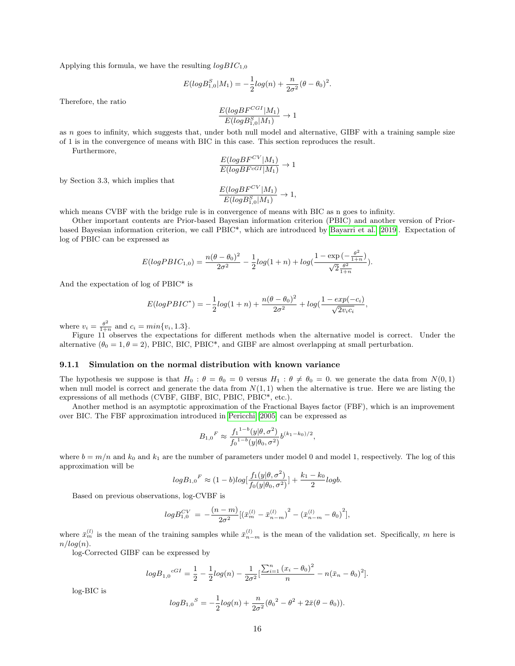Applying this formula, we have the resulting  $logBIC_{1,0}$ 

$$
E(log B_{1,0}^{S}|M_1) = -\frac{1}{2} log(n) + \frac{n}{2\sigma^2} (\theta - \theta_0)^2.
$$

Therefore, the ratio

$$
\frac{E(logBF^{CGI}|M_1)}{E(logB_{1,0}^S|M_1)} \rightarrow 1
$$

as  $n$  goes to infinity, which suggests that, under both null model and alternative, GIBF with a training sample size of 1 is in the convergence of means with BIC in this case. This section reproduces the result.

Furthermore,

$$
\frac{E(logBF^{CV}|M_1)}{E(logBF^{cGI}|M_1)} \to 1
$$

by Section 3.3, which implies that

$$
\frac{E(logBF^{CV}|M_1)}{E(logB_{1,0}^S|M_1)} \to 1,
$$

which means CVBF with the bridge rule is in convergence of means with BIC as n goes to infinity.

Other important contents are Prior-based Bayesian information criterion (PBIC) and another version of Priorbased Bayesian information criterion, we call PBIC\*, which are introduced by [Bayarri et al. \[2019\]](#page-22-6). Expectation of log of PBIC can be expressed as

$$
E(logP BIC_{1,0}) = \frac{n(\theta - \theta_0)^2}{2\sigma^2} - \frac{1}{2} log(1+n) + log(\frac{1 - exp(-\frac{\theta^2}{1+n})}{\sqrt{2} \frac{\theta^2}{1+n}}).
$$

And the expectation of log of PBIC\* is

$$
E(logPBIC^*) = -\frac{1}{2}log(1+n) + \frac{n(\theta - \theta_0)^2}{2\sigma^2} + log(\frac{1 - exp(-c_i)}{\sqrt{2v_ic_i}},
$$

where  $v_i = \frac{\theta^2}{1+i}$  $\frac{\theta^2}{1+n}$  and  $c_i = min\{v_i, 1.3\}.$ 

Figure 11 observes the expectations for different methods when the alternative model is correct. Under the alternative  $(\theta_0 = 1, \theta = 2)$ , PBIC, BIC, PBIC<sup>\*</sup>, and GIBF are almost overlapping at small perturbation.

#### 9.1.1 Simulation on the normal distribution with known variance

The hypothesis we suppose is that  $H_0$ :  $\theta = \theta_0 = 0$  versus  $H_1$ :  $\theta \neq \theta_0 = 0$ . we generate the data from  $N(0, 1)$ when null model is correct and generate the data from  $N(1, 1)$  when the alternative is true. Here we are listing the expressions of all methods (CVBF, GIBF, BIC, PBIC, PBIC\*, etc.).

Another method is an asymptotic approximation of the Fractional Bayes factor (FBF), which is an improvement over BIC. The FBF approximation introduced in [Pericchi \[2005\]](#page-22-7) can be expressed as

$$
B_{1,0}{}^F \approx \frac{f_1{}^{1-b}(y|\theta,\sigma^2)}{f_0{}^{1-b}(y|\theta_0,\sigma^2)} b^{(k_1-k_0)/2},
$$

where  $b = m/n$  and  $k_0$  and  $k_1$  are the number of parameters under model 0 and model 1, respectively. The log of this approximation will be

$$
\log B_{1,0}{}^F \approx (1-b) \log \left[ \frac{f_1(y|\theta,\sigma^2)}{f_0(y|\theta_0,\sigma^2)} \right] + \frac{k_1 - k_0}{2} \log b.
$$

Based on previous observations, log-CVBF is

$$
log B_{1,0}^{CV} = -\frac{(n-m)}{2\sigma^2} \left[ \left( \bar{x}_m^{(l)} - \bar{x}_{n-m}^{(l)} \right)^2 - \left( \bar{x}_{n-m}^{(l)} - \theta_0 \right)^2 \right],
$$

where  $\bar{x}_{m}^{(l)}$  is the mean of the training samples while  $\bar{x}_{n-m}^{(l)}$  is the mean of the validation set. Specifically, m here is  $n/log(n).$ 

log-Corrected GIBF can be expressed by

$$
log B_{1,0}{}^{cGI} = \frac{1}{2} - \frac{1}{2} log(n) - \frac{1}{2\sigma^2} \left[ \frac{\sum_{i=1}^{n} (x_i - \theta_0)^2}{n} - n(\bar{x}_n - \theta_0)^2 \right].
$$

log-BIC is

$$
log B_{1,0}{}^{S} = -\frac{1}{2} log(n) + \frac{n}{2\sigma^{2}} (\theta_{0}{}^{2} - \theta^{2} + 2\bar{x}(\theta - \theta_{0})).
$$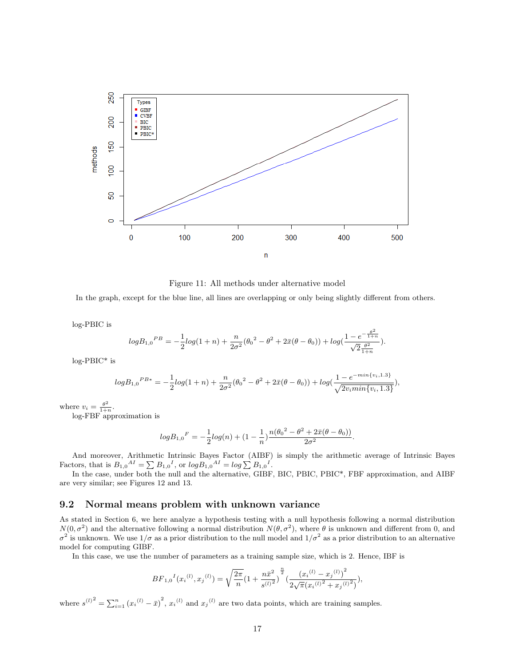

Figure 11: All methods under alternative model

In the graph, except for the blue line, all lines are overlapping or only being slightly different from others.

log-PBIC is

$$
\log B_{1,0}{}^{PB} = -\frac{1}{2}\log(1+n) + \frac{n}{2\sigma^2}(\theta_0{}^2 - \theta^2 + 2\bar{x}(\theta - \theta_0)) + \log(\frac{1 - e^{-\frac{\theta^2}{1+n}}}{\sqrt{2}\frac{\theta^2}{1+n}}).
$$

log-PBIC\* is

$$
log B_{1,0}{}^{PB*} = -\frac{1}{2} log(1+n) + \frac{n}{2\sigma^2} (\theta_0{}^2 - \theta^2 + 2\bar{x}(\theta - \theta_0)) + log(\frac{1 - e^{-min\{v_i, 1.3\}}}{\sqrt{2v_i min\{v_i, 1.3\}}}),
$$

where  $v_i = \frac{\theta^2}{1+i}$  $\frac{\theta^2}{1+n}$ .

log-FBF approximation is

$$
log B_{1,0}{}^{F} = -\frac{1}{2}log(n) + (1 - \frac{1}{n})\frac{n(\theta_0{}^{2} - \theta^2 + 2\bar{x}(\theta - \theta_0))}{2\sigma^2}.
$$

And moreover, Arithmetic Intrinsic Bayes Factor (AIBF) is simply the arithmetic average of Intrinsic Bayes Factors, that is  $B_{1,0}{}^{AI} = \sum B_{1,0}{}^{I}$ , or  $log B_{1,0}{}^{AI} = log \sum B_{1,0}{}^{I}$ .

In the case, under both the null and the alternative, GIBF, BIC, PBIC, PBIC\*, FBF approximation, and AIBF are very similar; see Figures 12 and 13.

### 9.2 Normal means problem with unknown variance

As stated in Section 6, we here analyze a hypothesis testing with a null hypothesis following a normal distribution  $N(0, \sigma^2)$  and the alternative following a normal distribution  $N(\theta, \sigma^2)$ , where  $\theta$  is unknown and different from 0, and  $\sigma^2$  is unknown. We use  $1/\sigma$  as a prior distribution to the null model and  $1/\sigma^2$  as a prior distribution to an alternative model for computing GIBF.

In this case, we use the number of parameters as a training sample size, which is 2. Hence, IBF is

$$
BF_{1,0}{}^{I}(x_i{}^{(l)},x_j{}^{(l)}) = \sqrt{\frac{2\pi}{n}}\left(1+\frac{n\bar{x}^2}{s^{(l)^2}}\right)^{\frac{n}{2}}\left(\frac{\left(x_i{}^{(l)}-x_j{}^{(l)}\right)^2}{2\sqrt{\pi} \left(x_i{}^{(l)^2}+x_j{}^{(l)^2}\right)}\right),
$$

where  $s^{(l)}^2 = \sum_{i=1}^n (x_i^{(l)} - \bar{x})^2$ ,  $x_i^{(l)}$  and  $x_j^{(l)}$  are two data points, which are training samples.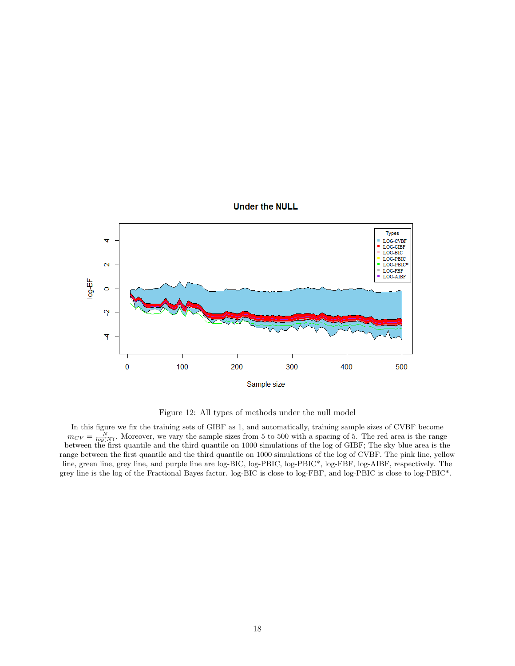

Figure 12: All types of methods under the null model

In this figure we fix the training sets of GIBF as 1, and automatically, training sample sizes of CVBF become  $m_{CV} = \frac{N}{log(N)}$ . Moreover, we vary the sample sizes from 5 to 500 with a spacing of 5. The red area is the range between the first quantile and the third quantile on 1000 simulations of the log of GIBF; The sky blue area is the range between the first quantile and the third quantile on 1000 simulations of the log of CVBF. The pink line, yellow line, green line, grey line, and purple line are log-BIC, log-PBIC, log-PBIC\*, log-FBF, log-AIBF, respectively. The grey line is the log of the Fractional Bayes factor. log-BIC is close to log-FBF, and log-PBIC is close to log-PBIC\*.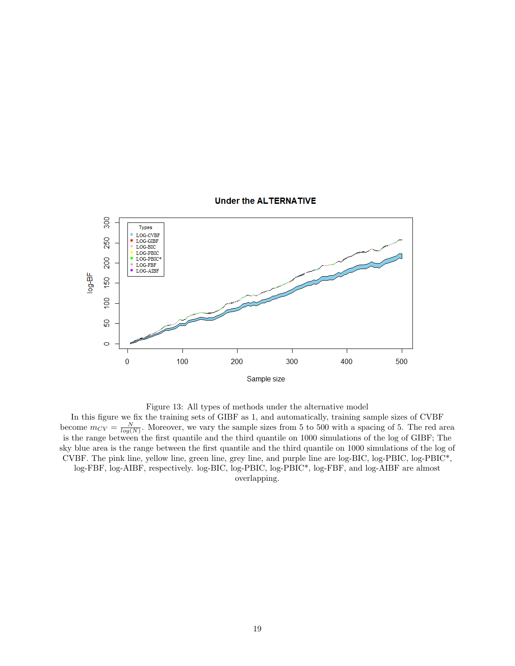

Figure 13: All types of methods under the alternative model

In this figure we fix the training sets of GIBF as 1, and automatically, training sample sizes of CVBF become  $m_{CV} = \frac{N}{log(N)}$ . Moreover, we vary the sample sizes from 5 to 500 with a spacing of 5. The red area is the range between the first quantile and the third quantile on 1000 simulations of the log of GIBF; The sky blue area is the range between the first quantile and the third quantile on 1000 simulations of the log of CVBF. The pink line, yellow line, green line, grey line, and purple line are log-BIC, log-PBIC, log-PBIC\*, log-FBF, log-AIBF, respectively. log-BIC, log-PBIC, log-PBIC\*, log-FBF, and log-AIBF are almost

overlapping.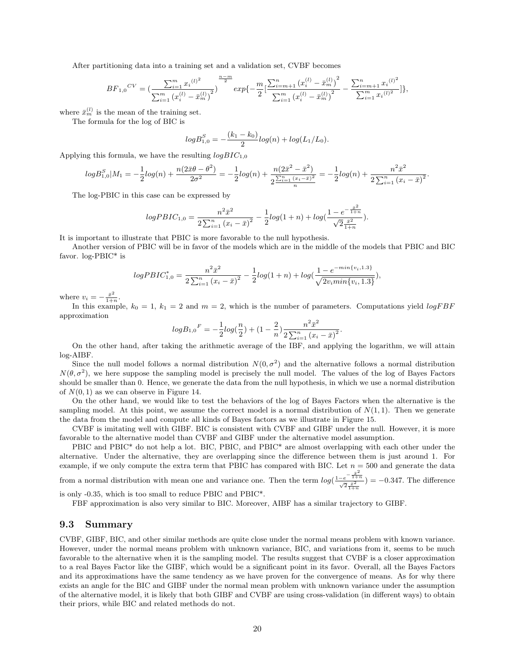After partitioning data into a training set and a validation set, CVBF becomes

$$
BF_{1,0}^{CV} = \left(\frac{\sum_{i=1}^{m} x_i^{(l)^2}}{\sum_{i=1}^{m} (x_i^{(l)} - \bar{x}_m^{(l)})^2}\right)^{\frac{n-m}{2}} exp\left(-\frac{m}{2} \left[\frac{\sum_{i=m+1}^{n} (x_i^{(l)} - \bar{x}_m^{(l)})^2}{\sum_{i=1}^{m} (x_i^{(l)} - \bar{x}_m^{(l)})^2}\right] - \frac{\sum_{i=m+1}^{n} x_i^{(l)^2}}{\sum_{i=1}^{m} x_i^{(l)^2}}\right]\},\,
$$

where  $\bar{x}_{m}^{(l)}$  is the mean of the training set.

The formula for the log of BIC is

$$
log B_{1,0}^{S} = -\frac{(k_1 - k_0)}{2} log(n) + log(L_1/L_0).
$$

Applying this formula, we have the resulting  $logBIC_{1,0}$ 

$$
log B_{1,0}^S|M_1 = -\frac{1}{2}log(n) + \frac{n(2\bar{x}\theta - \theta^2)}{2\sigma^2} = -\frac{1}{2}log(n) + \frac{n(2\bar{x}^2 - \bar{x}^2)}{2\frac{\sum_{i=1}^n (x_i - \bar{x})^2}{n}} = -\frac{1}{2}log(n) + \frac{n^2\bar{x}^2}{2\sum_{i=1}^n (x_i - \bar{x})^2}
$$

.

The log-PBIC in this case can be expressed by

$$
logPBIC_{1,0} = \frac{n^2 \bar{x}^2}{2\sum_{i=1}^n (x_i - \bar{x})^2} - \frac{1}{2} log(1+n) + log(\frac{1 - e^{-\frac{\bar{x}^2}{1+n}}}{\sqrt{2\frac{\bar{x}^2}{1+n}}}).
$$

It is important to illustrate that PBIC is more favorable to the null hypothesis.

Another version of PBIC will be in favor of the models which are in the middle of the models that PBIC and BIC favor. log-PBIC\* is

$$
logPBIC_{1,0}^{*} = \frac{n^2 \bar{x}^2}{2\sum_{i=1}^{n} (x_i - \bar{x})^2} - \frac{1}{2} log(1+n) + log(\frac{1 - e^{-min\{v_i, 1, 3\}}}{\sqrt{2v_i min\{v_i, 1, 3\}}}),
$$

where  $v_i = -\frac{\bar{x}^2}{1+i}$  $\frac{x^2}{1+n}$ .

In this example,  $k_0 = 1$ ,  $k_1 = 2$  and  $m = 2$ , which is the number of parameters. Computations yield  $logFBF$ approximation

$$
log B_{1,0}{}^{F} = -\frac{1}{2} log(\frac{n}{2}) + (1 - \frac{2}{n}) \frac{n^2 \bar{x}^2}{2 \sum_{i=1}^n (x_i - \bar{x})^2}
$$

.

On the other hand, after taking the arithmetic average of the IBF, and applying the logarithm, we will attain log-AIBF.

Since the null model follows a normal distribution  $N(0, \sigma^2)$  and the alternative follows a normal distribution  $N(\theta, \sigma^2)$ , we here suppose the sampling model is precisely the null model. The values of the log of Bayes Factors should be smaller than 0. Hence, we generate the data from the null hypothesis, in which we use a normal distribution of  $N(0, 1)$  as we can observe in Figure 14.

On the other hand, we would like to test the behaviors of the log of Bayes Factors when the alternative is the sampling model. At this point, we assume the correct model is a normal distribution of  $N(1,1)$ . Then we generate the data from the model and compute all kinds of Bayes factors as we illustrate in Figure 15.

CVBF is imitating well with GIBF. BIC is consistent with CVBF and GIBF under the null. However, it is more favorable to the alternative model than CVBF and GIBF under the alternative model assumption.

PBIC and PBIC<sup>\*</sup> do not help a lot. BIC, PBIC, and PBIC<sup>\*</sup> are almost overlapping with each other under the alternative. Under the alternative, they are overlapping since the difference between them is just around 1. For example, if we only compute the extra term that PBIC has compared with BIC. Let  $n = 500$  and generate the data

from a normal distribution with mean one and variance one. Then the term  $log(\frac{1-e^{-\frac{\bar{x}^2}{1+n}}}{\sqrt{2}\frac{\bar{x}^2}{1+n}}) = -0.347$ . The difference

is only -0.35, which is too small to reduce PBIC and PBIC\*.

FBF approximation is also very similar to BIC. Moreover, AIBF has a similar trajectory to GIBF.

#### 9.3 Summary

CVBF, GIBF, BIC, and other similar methods are quite close under the normal means problem with known variance. However, under the normal means problem with unknown variance, BIC, and variations from it, seems to be much favorable to the alternative when it is the sampling model. The results suggest that CVBF is a closer approximation to a real Bayes Factor like the GIBF, which would be a significant point in its favor. Overall, all the Bayes Factors and its approximations have the same tendency as we have proven for the convergence of means. As for why there exists an angle for the BIC and GIBF under the normal mean problem with unknown variance under the assumption of the alternative model, it is likely that both GIBF and CVBF are using cross-validation (in different ways) to obtain their priors, while BIC and related methods do not.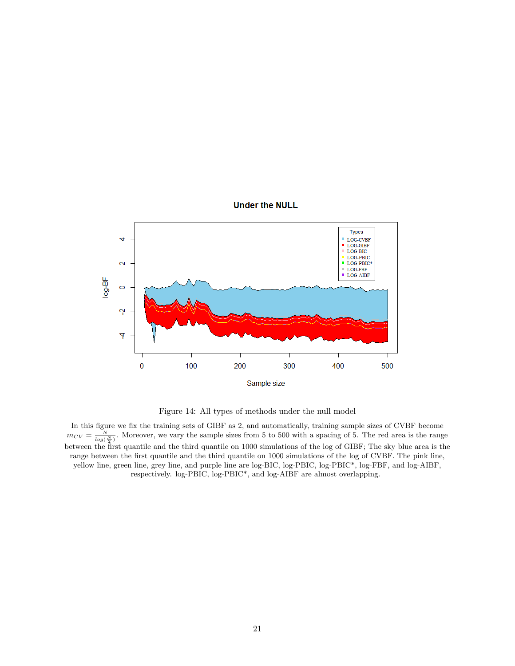

Figure 14: All types of methods under the null model

In this figure we fix the training sets of GIBF as 2, and automatically, training sample sizes of CVBF become  $m_{CV} = \frac{N}{log(\frac{N}{2})}$ . Moreover, we vary the sample sizes from 5 to 500 with a spacing of 5. The red area is the range between the first quantile and the third quantile on 1000 simulations of the log of GIBF; The sky blue area is the range between the first quantile and the third quantile on 1000 simulations of the log of CVBF. The pink line, yellow line, green line, grey line, and purple line are log-BIC, log-PBIC, log-PBIC\*, log-FBF, and log-AIBF, respectively. log-PBIC, log-PBIC\*, and log-AIBF are almost overlapping.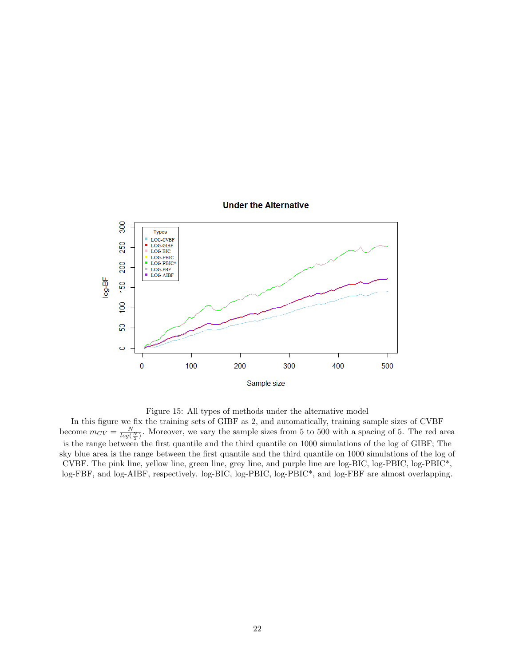

Figure 15: All types of methods under the alternative model

In this figure we fix the training sets of GIBF as 2, and automatically, training sample sizes of CVBF become  $m_{CV} = \frac{N}{log(\frac{N}{2})}$ . Moreover, we vary the sample sizes from 5 to 500 with a spacing of 5. The red area is the range between the first quantile and the third quantile on 1000 simulations of the log of GIBF; The sky blue area is the range between the first quantile and the third quantile on 1000 simulations of the log of CVBF. The pink line, yellow line, green line, grey line, and purple line are log-BIC, log-PBIC, log-PBIC\*, log-FBF, and log-AIBF, respectively. log-BIC, log-PBIC, log-PBIC\*, and log-FBF are almost overlapping.